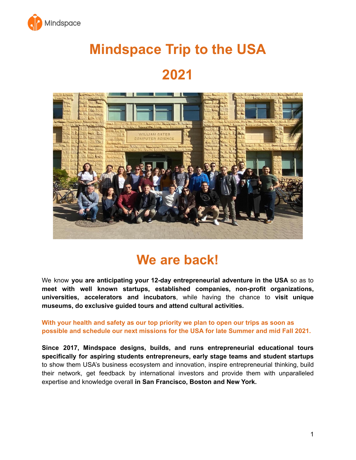

# **Mindspace Trip to the USA**

### **2021**



### **We are back!**

We know **you are anticipating your 12-day entrepreneurial adventure in the USA** so as to **meet with well known startups, established companies, non-profit organizations, universities, accelerators and incubators**, while having the chance to **visit unique museums, do exclusive guided tours and attend cultural activities.**

**With your health and safety as our top priority we plan to open our trips as soon as possible and schedule our next missions for the USA for late Summer and mid Fall 2021.**

**Since 2017, Mindspace designs, builds, and runs entrepreneurial educational tours specifically for aspiring students entrepreneurs, early stage teams and student startups** to show them USA's business ecosystem and innovation, inspire entrepreneurial thinking, build their network, get feedback by international investors and provide them with unparalleled expertise and knowledge overall **in San Francisco, Boston and New York.**